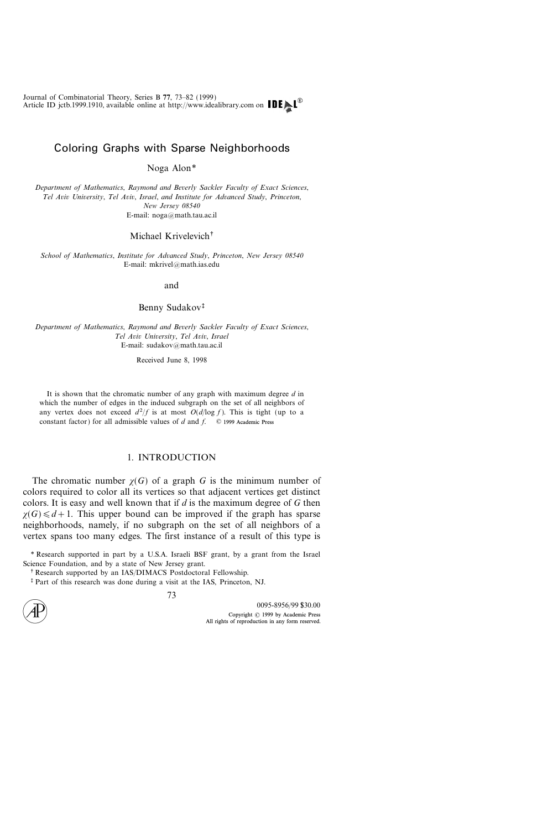# Coloring Graphs with Sparse Neighborhoods

Noga Alon\*

Department of Mathematics, Raymond and Beverly Sackler Faculty of Exact Sciences, Tel Aviv University, Tel Aviv, Israel, and Institute for Advanced Study, Princeton, New Jersey 08540 E-mail: noga@math.tau.ac.il

# Michael Krivelevich<sup>+</sup>

School of Mathematics, Institute for Advanced Study, Princeton, New Jersey 08540 E-mail: mkrivel@math.ias.edu

#### and

## Benny Sudakov

Department of Mathematics, Raymond and Beverly Sackler Faculty of Exact Sciences, Tel Aviv University, Tel Aviv, Israel E-mail: sudakov@math.tau.ac.il

Received June 8, 1998

It is shown that the chromatic number of any graph with maximum degree  $d$  in which the number of edges in the induced subgraph on the set of all neighbors of any vertex does not exceed  $d^2/f$  is at most  $O(d/\log f)$ . This is tight (up to a constant factor) for all admissible values of  $d$  and  $f$ .  $\oslash$  1999 Academic Press

### 1. INTRODUCTION

The chromatic number  $\chi(G)$  of a graph G is the minimum number of colors required to color all its vertices so that adjacent vertices get distinct colors. It is easy and well known that if  $d$  is the maximum degree of  $G$  then  $\chi(G) \leq d+1$ . This upper bound can be improved if the graph has sparse neighborhoods, namely, if no subgraph on the set of all neighbors of a vertex spans too many edges. The first instance of a result of this type is

\* Research supported in part by a U.S.A. Israeli BSF grant, by a grant from the Israel Science Foundation, and by a state of New Jersey grant.

Part of this research was done during a visit at the IAS, Princeton, NJ.



<sup>&</sup>lt;sup>†</sup> Research supported by an IAS/DIMACS Postdoctoral Fellowship.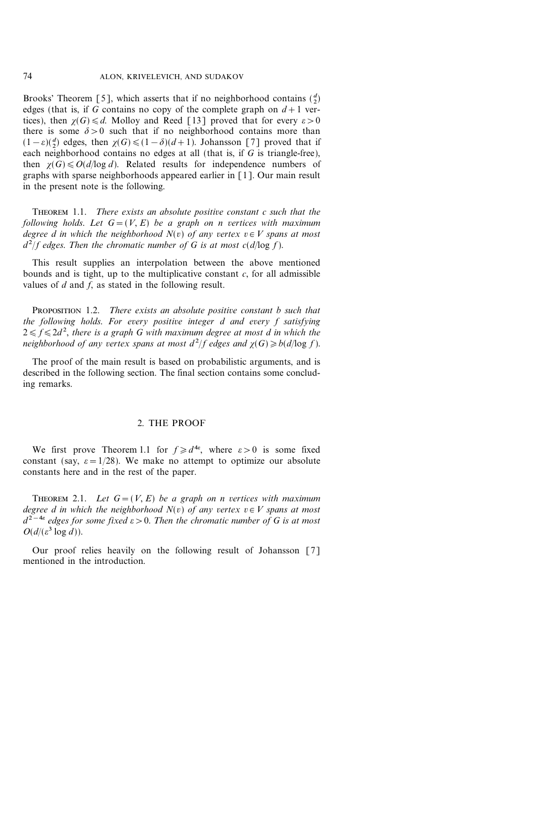Brooks' Theorem [5], which asserts that if no neighborhood contains  $\binom{d}{2}$ edges (that is, if G contains no copy of the complete graph on  $d+1$  vertices), then  $\chi(G) \le d$ . Molloy and Reed [13] proved that for every  $\varepsilon > 0$ there is some  $\delta > 0$  such that if no neighborhood contains more than  $(1 - \varepsilon)(\frac{d}{2})$  edges, then  $\chi(G) \leq (1 - \delta)(d + 1)$ . Johansson [7] proved that if each neighborhood contains no edges at all (that is, if  $\overline{G}$  is triangle-free), then  $\chi(G) \le O(d/\log d)$ . Related results for independence numbers of graphs with sparse neighborhoods appeared earlier in [1]. Our main result in the present note is the following.

THEOREM 1.1. There exists an absolute positive constant c such that the following holds. Let  $G=(V, E)$  be a graph on n vertices with maximum degree  $\tilde{d}$  in which the neighborhood  $N(v)$  of any vertex  $v \in V$  spans at most  $d^2/f$  edges. Then the chromatic number of G is at most  $c(d/\log f)$ .

This result supplies an interpolation between the above mentioned bounds and is tight, up to the multiplicative constant  $c$ , for all admissible values of  $d$  and  $f$ , as stated in the following result.

PROPOSITION 1.2. There exists an absolute positive constant b such that the following holds. For every positive integer d and every f satisfying  $2 \leq f \leq 2d^2$ , there is a graph G with maximum degree at most d in which the neighborhood of any vertex spans at most  $d^2/f$  edges and  $\chi(G) \geq b(d/\log f)$ .

The proof of the main result is based on probabilistic arguments, and is described in the following section. The final section contains some concluding remarks.

#### 2. THE PROOF

We first prove Theorem 1.1 for  $f \ge d^{4\varepsilon}$ , where  $\varepsilon > 0$  is some fixed constant (say,  $\varepsilon = 1/28$ ). We make no attempt to optimize our absolute constants here and in the rest of the paper.

THEOREM 2.1. Let  $G=(V, E)$  be a graph on n vertices with maximum degree d in which the neighborhood  $N(v)$  of any vertex  $v \in V$  spans at most  $d^{2-4\varepsilon}$  edges for some fixed  $\varepsilon > 0$ . Then the chromatic number of G is at most  $O(d/(\varepsilon^3 \log d)).$ 

Our proof relies heavily on the following result of Johansson [7] mentioned in the introduction.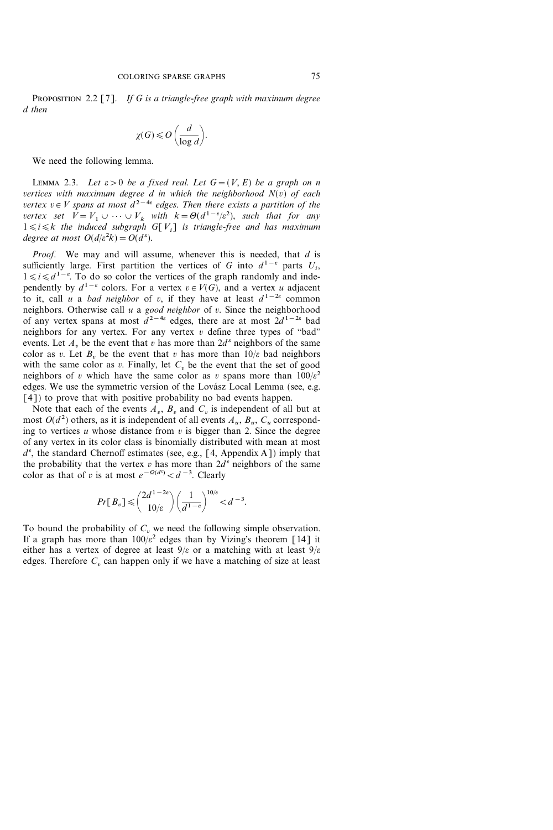PROPOSITION 2.2 [7]. If G is a triangle-free graph with maximum degree d then

$$
\chi(G) \leqslant O\left(\frac{d}{\log d}\right).
$$

We need the following lemma.

LEMMA 2.3. Let  $\varepsilon > 0$  be a fixed real. Let  $G = (V, E)$  be a graph on n vertices with maximum degree  $d$  in which the neighborhood  $N(v)$  of each vertex  $v \in V$  spans at most  $d^{2-4\varepsilon}$  edges. Then there exists a partition of the vertex set  $V = V_1 \cup \cdots \cup V_k$  with  $k = \Theta(d^{1-\epsilon}/\epsilon^2)$ , such that for any  $1 \le i \le k$  the induced subgraph G[V<sub>i</sub>] is triangle-free and has maximum degree at most  $O(d/\varepsilon^2 k) = O(d^{\varepsilon}).$ 

Proof. We may and will assume, whenever this is needed, that  $d$  is sufficiently large. First partition the vertices of G into  $d^{1-\epsilon}$  parts  $U_i$ ,  $1 \le i \le d^{1-\epsilon}$ . To do so color the vertices of the graph randomly and independently by  $d^{1-\epsilon}$  colors. For a vertex  $v \in V(G)$ , and a vertex u adjacent to it, call u a *bad neighbor* of v, if they have at least  $d^{1-2\varepsilon}$  common neighbors. Otherwise call  $u$  a good neighbor of  $v$ . Since the neighborhood of any vertex spans at most  $d^{2-4\varepsilon}$  edges, there are at most  $2d^{1-2\varepsilon}$  bad neighbors for any vertex. For any vertex  $v$  define three types of "bad" events. Let A<sub>n</sub> be the event that v has more than  $2d^{\epsilon}$  neighbors of the same color as v. Let  $B<sub>v</sub>$  be the event that v has more than  $10/\varepsilon$  bad neighbors with the same color as v. Finally, let  $C<sub>v</sub>$  be the event that the set of good neighbors of v which have the same color as v spans more than  $100/\varepsilon^2$ edges. We use the symmetric version of the Lovász Local Lemma (see, e.g. [4]) to prove that with positive probability no bad events happen.

Note that each of the events  $A_v$ ,  $B_v$  and  $C_v$  is independent of all but at most  $O(d^2)$  others, as it is independent of all events  $A_u$ ,  $B_u$ ,  $C_u$  corresponding to vertices u whose distance from  $v$  is bigger than 2. Since the degree of any vertex in its color class is binomially distributed with mean at most  $d^e$ , the standard Chernoff estimates (see, e.g., [4, Appendix A]) imply that the probability that the vertex v has more than  $2d^{\epsilon}$  neighbors of the same color as that of v is at most  $e^{-\Omega(d^{\varepsilon})} < d^{-3}$ . Clearly

$$
Pr[\,B_v\,] \leqslant \binom{2d^{1-2\varepsilon}}{10/\varepsilon} \left(\frac{1}{d^{1-\varepsilon}}\right)^{10/\varepsilon} < d^{-3}.
$$

To bound the probability of  $C<sub>v</sub>$  we need the following simple observation. If a graph has more than  $100/\varepsilon^2$  edges than by Vizing's theorem [14] it either has a vertex of degree at least  $9/\varepsilon$  or a matching with at least  $9/\varepsilon$ edges. Therefore  $C<sub>v</sub>$  can happen only if we have a matching of size at least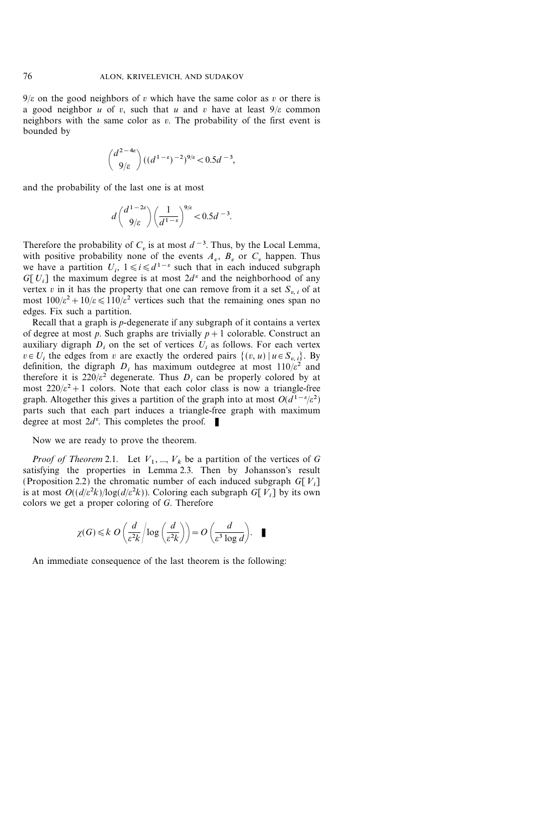$9/\varepsilon$  on the good neighbors of v which have the same color as v or there is a good neighbor u of v, such that u and v have at least  $9/\varepsilon$  common neighbors with the same color as  $v$ . The probability of the first event is bounded by

$$
\binom{d^{2-4\epsilon}}{9/\epsilon}((d^{1-\epsilon})^{-2})^{9/\epsilon} < 0.5d^{-3},
$$

and the probability of the last one is at most

$$
d\binom{d^{1-2\varepsilon}}{9/\varepsilon}\binom{1}{d^{1-\varepsilon}}^{9/\varepsilon} < 0.5d^{-3}.
$$

Therefore the probability of  $C_v$  is at most  $d^{-3}$ . Thus, by the Local Lemma, with positive probability none of the events  $A_v$ ,  $B_v$  or  $C_v$  happen. Thus we have a partition  $U_i$ ,  $1 \le i \le d^{1-\epsilon}$  such that in each induced subgraph G[U<sub>i</sub>] the maximum degree is at most  $2d^{\epsilon}$  and the neighborhood of any vertex v in it has the property that one can remove from it a set  $S_n$ , of at most  $100/\varepsilon^2 + 10/\varepsilon \le 110/\varepsilon^2$  vertices such that the remaining ones span no edges. Fix such a partition.

Recall that a graph is p-degenerate if any subgraph of it contains a vertex of degree at most p. Such graphs are trivially  $p+1$  colorable. Construct an auxiliary digraph  $D_i$  on the set of vertices  $U_i$  as follows. For each vertex  $v \in U_i$  the edges from v are exactly the ordered pairs  $\{(v, u) | u \in S_{v,i}\}\)$ . By definition, the digraph  $D_i$  has maximum outdegree at most  $110/\varepsilon^2$  and therefore it is  $220/\varepsilon^2$  degenerate. Thus D<sub>i</sub> can be properly colored by at most  $220/\varepsilon^2 + 1$  colors. Note that each color class is now a triangle-free graph. Altogether this gives a partition of the graph into at most  $O(d^{1-\epsilon}/\epsilon^2)$ parts such that each part induces a triangle-free graph with maximum degree at most  $2d^e$ . This completes the proof.  $\blacksquare$ 

Now we are ready to prove the theorem.

*Proof of Theorem* 2.1. Let  $V_1$ , ...,  $V_k$  be a partition of the vertices of G satisfying the properties in Lemma 2.3. Then by Johansson's result (Proposition 2.2) the chromatic number of each induced subgraph  $G[V_i]$ is at most  $O((d/\varepsilon^2 k)/\log(d/\varepsilon^2 k))$ . Coloring each subgraph G[V<sub>i</sub>] by its own colors we get a proper coloring of G. Therefore

$$
\chi(G) \leq k \ O\left(\frac{d}{\varepsilon^2 k}\middle|\log\left(\frac{d}{\varepsilon^2 k}\right)\right) = O\left(\frac{d}{\varepsilon^3 \log d}\right). \quad \blacksquare
$$

An immediate consequence of the last theorem is the following: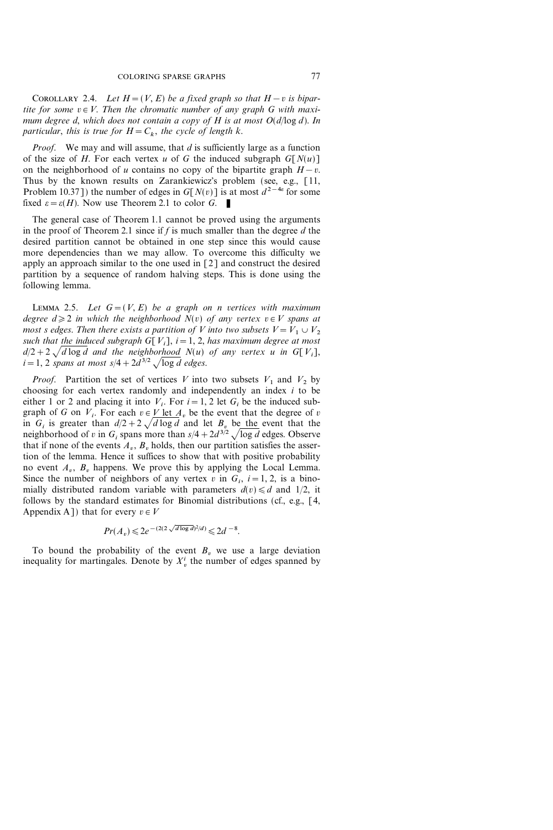COROLLARY 2.4. Let  $H=(V, E)$  be a fixed graph so that  $H-v$  is bipartite for some  $v \in V$ . Then the chromatic number of any graph G with maximum degree d, which does not contain a copy of H is at most  $O(d/\log d)$ . In particular, this is true for  $H = C_k$ , the cycle of length k.

*Proof.* We may and will assume, that d is sufficiently large as a function of the size of H. For each vertex u of G the induced subgraph  $G[N(u)]$ on the neighborhood of u contains no copy of the bipartite graph  $H-v$ . Thus by the known results on Zarankiewicz's problem (see, e.g., [11, Problem 10.37]) the number of edges in  $G[N(v)]$  is at most  $d^{2-4\varepsilon}$  for some fixed  $\varepsilon = \varepsilon(H)$ . Now use Theorem 2.1 to color G.

The general case of Theorem 1.1 cannot be proved using the arguments in the proof of Theorem 2.1 since if  $f$  is much smaller than the degree  $d$  the desired partition cannot be obtained in one step since this would cause more dependencies than we may allow. To overcome this difficulty we apply an approach similar to the one used in [2] and construct the desired partition by a sequence of random halving steps. This is done using the following lemma.

LEMMA 2.5. Let  $G=(V, E)$  be a graph on n vertices with maximum degree  $d \geq 2$  in which the neighborhood  $N(v)$  of any vertex  $v \in V$  spans at most s edges. Then there exists a partition of V into two subsets  $V=V_1 \cup V_2$ such that the induced subgraph G[V<sub>i</sub>],  $i=1, 2$ , has maximum degree at most  $d/2+2\sqrt{d \log d}$  and the neighborhood  $N(u)$  of any vertex u in G[V<sub>i</sub>],  $i=1$ , 2 spans at most  $s/4+2d^{3/2} \sqrt{\log d}$  edges.

*Proof.* Partition the set of vertices V into two subsets  $V_1$  and  $V_2$  by choosing for each vertex randomly and independently an index  $i$  to be either 1 or 2 and placing it into  $V_i$ . For  $i=1, 2$  let  $G_i$  be the induced subgraph of G on  $V_i$ . For each  $v \in V$  let  $A_v$  be the event that the degree of v in  $G_i$  is greater than  $d/2+2\sqrt{d}\log d$  and let  $B_v$  be the event that the neighborhood of v in  $G_i$  spans more than  $s/4 + 2d^{3/2} \sqrt{\log d}$  edges. Observe that if none of the events  $A_v$ ,  $B_v$  holds, then our partition satisfies the assertion of the lemma. Hence it suffices to show that with positive probability no event  $A_n$ ,  $B_n$  happens. We prove this by applying the Local Lemma. Since the number of neighbors of any vertex v in  $G_i$ ,  $i=1, 2$ , is a binomially distributed random variable with parameters  $d(v) \le d$  and 1/2, it follows by the standard estimates for Binomial distributions (cf., e.g., [4, Appendix A ]) that for every  $v \in V$ 

$$
Pr(A_v) \le 2e^{-(2(2\sqrt{d \log d})^2/d)} \le 2d^{-8}.
$$

To bound the probability of the event  $B<sub>v</sub>$  we use a large deviation inequality for martingales. Denote by  $X_v^i$  the number of edges spanned by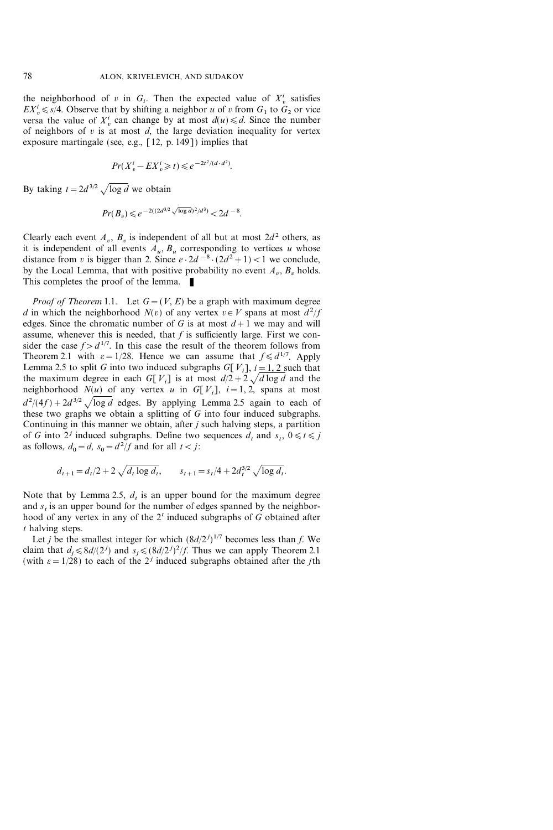the neighborhood of v in  $G_i$ . Then the expected value of  $X_v^i$  satisfies  $EX_v^i \leq s/4$ . Observe that by shifting a neighbor u of v from  $G_1$  to  $G_2$  or vice versa the value of  $X_v^i$  can change by at most  $d(u) \le d$ . Since the number of neighbors of  $v$  is at most  $d$ , the large deviation inequality for vertex exposure martingale (see, e.g., [12, p. 149]) implies that

$$
Pr(X_v^i - EX_v^i \ge t) \le e^{-2t^2/(d \cdot d^2)}.
$$

By taking  $t = 2d^{3/2} \sqrt{\log d}$  we obtain

$$
Pr(B_v) \leq e^{-2((2d^{3/2}\sqrt{\log d})^2/d^3)} < 2d^{-8}.
$$

Clearly each event  $A_v$ ,  $B_v$  is independent of all but at most  $2d^2$  others, as it is independent of all events  $A_u$ ,  $B_u$  corresponding to vertices u whose distance from v is bigger than 2. Since  $e \cdot 2d^{-8} \cdot (2d^2 + 1) < 1$  we conclude, by the Local Lemma, that with positive probability no event  $A_v$ ,  $B_v$  holds. This completes the proof of the lemma.  $\blacksquare$ 

*Proof of Theorem* 1.1. Let  $G=(V, E)$  be a graph with maximum degree d in which the neighborhood  $N(v)$  of any vertex  $v \in V$  spans at most  $d^2/f$ edges. Since the chromatic number of G is at most  $d+1$  we may and will assume, whenever this is needed, that  $f$  is sufficiently large. First we consider the case  $f > d^{1/7}$ . In this case the result of the theorem follows from Theorem 2.1 with  $\varepsilon = 1/28$ . Hence we can assume that  $f \le d^{1/7}$ . Apply Lemma 2.5 to split G into two induced subgraphs G[V<sub>i</sub>],  $i=1, 2$  such that the maximum degree in each G[V<sub>i</sub>] is at most  $d/2+2\sqrt{d \log d}$  and the neighborhood  $N(u)$  of any vertex u in G[V<sub>i</sub>],  $i=1, 2$ , spans at most  $d^2/(4f) + 2d^{3/2}\sqrt{\log d}$  edges. By applying Lemma 2.5 again to each of these two graphs we obtain a splitting of G into four induced subgraphs. Continuing in this manner we obtain, after *j* such halving steps, a partition of G into  $2^j$  induced subgraphs. Define two sequences  $d_t$  and  $s_t$ ,  $0 \le t \le j$ as follows,  $d_0 = d$ ,  $s_0 = d^2/f$  and for all  $t < j$ :

$$
d_{t+1} = d_t/2 + 2\sqrt{d_t \log d_t}, \qquad s_{t+1} = s_t/4 + 2d_t^{3/2}\sqrt{\log d_t}.
$$

Note that by Lemma 2.5,  $d_t$  is an upper bound for the maximum degree and  $s_t$  is an upper bound for the number of edges spanned by the neighborhood of any vertex in any of the  $2<sup>t</sup>$  induced subgraphs of G obtained after t halving steps.

Let *j* be the smallest integer for which  $\left(\frac{8d}{2^{j}}\right)^{1/7}$  becomes less than *f*. We claim that  $d_j \le 8d/(2^j)$  and  $s_j \le (8d/2^j)^2/f$ . Thus we can apply Theorem 2.1 (with  $\varepsilon = 1/28$ ) to each of the 2<sup>*j*</sup> induced subgraphs obtained after the *j*th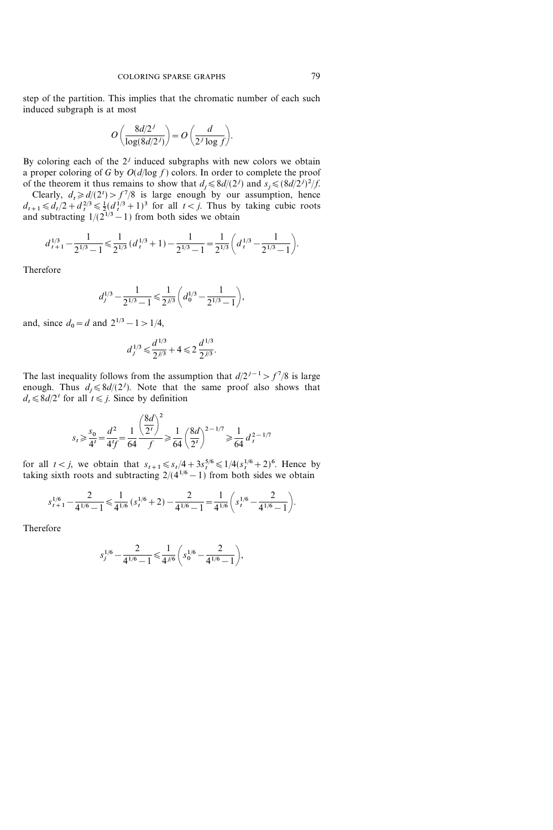step of the partition. This implies that the chromatic number of each such induced subgraph is at most

$$
O\left(\frac{8d/2^j}{\log(8d/2^j)}\right) = O\left(\frac{d}{2^j\log f}\right).
$$

By coloring each of the  $2<sup>j</sup>$  induced subgraphs with new colors we obtain a proper coloring of G by  $O(d/\log f)$  colors. In order to complete the proof of the theorem it thus remains to show that  $d_j \le 8d/(2^j)$  and  $s_j \le (8d/2^j)^2/f$ .

Clearly,  $d_t \ge d/(2^t) > f^7/8$  is large enough by our assumption, hence  $d_{t+1} \le d_t/2 + d_t^{2/3} \le \frac{1}{2} (d_t^{1/3} + 1)^3$  for all  $t < j$ . Thus by taking cubic roots and subtracting  $1/(2^{1/3}-1)$  from both sides we obtain

$$
d_{t+1}^{1/3} - \frac{1}{2^{1/3} - 1} \leq \frac{1}{2^{1/3}} \left( d_t^{1/3} + 1 \right) - \frac{1}{2^{1/3} - 1} = \frac{1}{2^{1/3}} \left( d_t^{1/3} - \frac{1}{2^{1/3} - 1} \right).
$$

Therefore

$$
d_j^{1/3} - \frac{1}{2^{1/3} - 1} \leq \frac{1}{2^{j/3}} \bigg(d_0^{1/3} - \frac{1}{2^{1/3} - 1}\bigg),
$$

and, since  $d_0 = d$  and  $2^{1/3} - 1 > 1/4$ ,

$$
d_j^{1/3} \leq \frac{d^{1/3}}{2^{j/3}} + 4 \leq 2 \frac{d^{1/3}}{2^{j/3}}.
$$

The last inequality follows from the assumption that  $d/2^{i-1} > f^7/8$  is large enough. Thus  $d_j \le 8d/(2^j)$ . Note that the same proof also shows that  $d_t \leq 8d/2^t$  for all  $t \leq j$ . Since by definition

$$
s_t \ge \frac{s_0}{4^t} = \frac{d^2}{4^t f} = \frac{1}{64} \frac{\left(\frac{8d}{2^t}\right)^2}{f} \ge \frac{1}{64} \left(\frac{8d}{2^t}\right)^{2-1/7} \ge \frac{1}{64} d_t^{2-1/7}
$$

for all  $t < j$ , we obtain that  $s_{t+1} \leq s_t/4 + 3s_t^{5/6} \leq 1/4(s_t^{1/6} + 2)^6$ . Hence by taking sixth roots and subtracting  $2/(4^{1/6}-1)$  from both sides we obtain

$$
s_{t+1}^{1/6} - \frac{2}{4^{1/6} - 1} \leq \frac{1}{4^{1/6}} \left( s_t^{1/6} + 2 \right) - \frac{2}{4^{1/6} - 1} = \frac{1}{4^{1/6}} \left( s_t^{1/6} - \frac{2}{4^{1/6} - 1} \right).
$$

Therefore

$$
s_j^{1/6}-\frac{2}{4^{1/6}-1}\!\leqslant\!\frac{1}{4^{j/6}}\bigg(s_0^{1/6}-\frac{2}{4^{1/6}-1}\bigg),
$$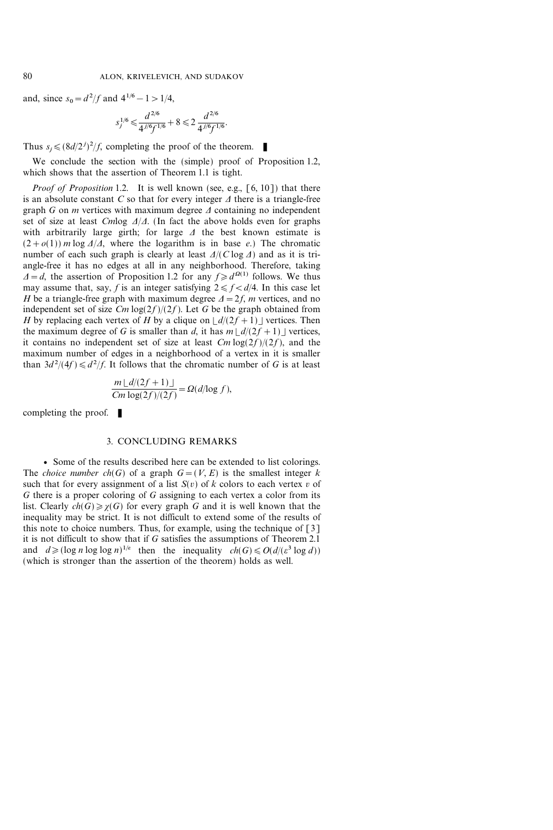and, since  $s_0 = d^2/f$  and  $4^{1/6} - 1 > 1/4$ ,

$$
s_j^{1/6}\leqslant \frac{d^{2/6}}{4^{j/6}f^{1/6}}+8\leqslant 2\,\frac{d^{2/6}}{4^{j/6}f^{1/6}}.
$$

Thus  $s_j \leq (8d/2^j)^2/f$ , completing the proof of the theorem.

We conclude the section with the (simple) proof of Proposition 1.2, which shows that the assertion of Theorem 1.1 is tight.

*Proof of Proposition* 1.2. It is well known (see, e.g.,  $[6, 10]$ ) that there is an absolute constant C so that for every integer  $\Delta$  there is a triangle-free graph G on  $m$  vertices with maximum degree  $\Delta$  containing no independent set of size at least Cmlog  $\Delta/\Delta$ . (In fact the above holds even for graphs with arbitrarily large girth; for large  $\Delta$  the best known estimate is  $(2+o(1))$  m log  $\Delta/\Delta$ , where the logarithm is in base e.) The chromatic number of each such graph is clearly at least  $\Delta/(C \log \Delta)$  and as it is triangle-free it has no edges at all in any neighborhood. Therefore, taking  $\Delta = d$ , the assertion of Proposition 1.2 for any  $f \ge d^{\Omega(1)}$  follows. We thus may assume that, say, f is an integer satisfying  $2 \le f \le d/4$ . In this case let H be a triangle-free graph with maximum degree  $\Delta = 2f$ , m vertices, and no independent set of size  $Cm \log(2f)/(2f)$ . Let G be the graph obtained from H by replacing each vertex of H by a clique on  $\lfloor d/(2f +1) \rfloor$  vertices. Then the maximum degree of G is smaller than d, it has  $m \lfloor d/(2f +1) \rfloor$  vertices, it contains no independent set of size at least  $Cm \log(2f)/(2f)$ , and the maximum number of edges in a neighborhood of a vertex in it is smaller than  $3d^2/(4f) \le d^2/f$ . It follows that the chromatic number of G is at least

$$
\frac{m \lfloor d/(2f+1) \rfloor}{Cm \log(2f)/(2f)} = \Omega(d/\log f),
$$

completing the proof.  $\blacksquare$ 

### 3. CONCLUDING REMARKS

v Some of the results described here can be extended to list colorings. The *choice number ch(G)* of a graph  $G=(V, E)$  is the smallest integer k such that for every assignment of a list  $S(v)$  of k colors to each vertex v of G there is a proper coloring of G assigning to each vertex a color from its list. Clearly  $ch(G) \ge \chi(G)$  for every graph G and it is well known that the inequality may be strict. It is not difficult to extend some of the results of this note to choice numbers. Thus, for example, using the technique of [3] it is not difficult to show that if G satisfies the assumptions of Theorem 2.1 and  $d \geq (\log n \log \log n)^{1/\varepsilon}$  then the inequality  $ch(G) \leq O(d/(\varepsilon^3 \log d))$ (which is stronger than the assertion of the theorem) holds as well.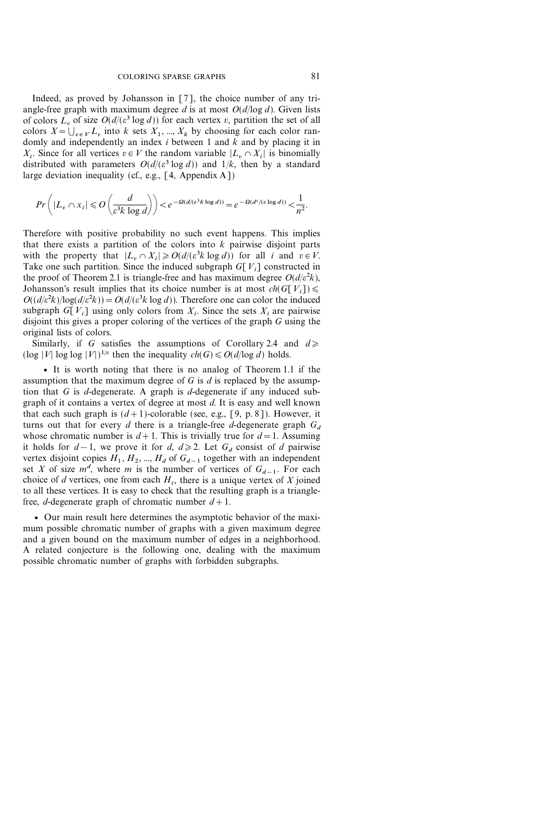Indeed, as proved by Johansson in [7], the choice number of any triangle-free graph with maximum degree d is at most  $O(d/\log d)$ . Given lists of colors  $L<sub>v</sub>$  of size  $O(d/(\varepsilon^3 \log d))$  for each vertex v, partition the set of all colors  $X = \bigcup_{v \in V} L_v$  into k sets  $X_1, ..., X_k$  by choosing for each color randomly and independently an index  $i$  between 1 and  $k$  and by placing it in  $X_i$ . Since for all vertices  $v \in V$  the random variable  $|L_v \cap X_i|$  is binomially distributed with parameters  $O(d/(\varepsilon^3 \log d))$  and  $1/k$ , then by a standard large deviation inequality (cf., e.g.,  $[4,$  Appendix A])

$$
Pr\left(|L_v \cap x_i| \le O\left(\frac{d}{\varepsilon^3 k \log d}\right)\right) < e^{-\Omega(d/(\varepsilon^3 k \log d))} = e^{-\Omega(d^{\varepsilon}/(\varepsilon \log d))} < \frac{1}{n^2}.
$$

Therefore with positive probability no such event happens. This implies that there exists a partition of the colors into  $k$  pairwise disjoint parts with the property that  $|L_v \cap X_i| \ge O(d/(\varepsilon^3 k \log d))$  for all i and  $v \in V$ . Take one such partition. Since the induced subgraph  $G[V_i]$  constructed in the proof of Theorem 2.1 is triangle-free and has maximum degree  $O(d/\varepsilon^2 k)$ , Johansson's result implies that its choice number is at most  $ch(G[V_i]) \le$  $O((d/\varepsilon^2 k)/\log(d/\varepsilon^2 k)) = O(d/(\varepsilon^3 k \log d))$ . Therefore one can color the induced subgraph  $G[V_i]$  using only colors from  $X_i$ . Since the sets  $X_i$  are pairwise disjoint this gives a proper coloring of the vertices of the graph G using the original lists of colors.

Similarly, if G satisfies the assumptions of Corollary 2.4 and  $d \geq$  $(\log |V| \log \log |V|)^{1/\varepsilon}$  then the inequality  $ch(G) \leq O(d/\log d)$  holds.

v It is worth noting that there is no analog of Theorem 1.1 if the assumption that the maximum degree of  $G$  is  $d$  is replaced by the assumption that  $G$  is  $d$ -degenerate. A graph is  $d$ -degenerate if any induced subgraph of it contains a vertex of degree at most d. It is easy and well known that each such graph is  $(d+1)$ -colorable (see, e.g., [9, p. 8]). However, it turns out that for every d there is a triangle-free d-degenerate graph  $G_d$ whose chromatic number is  $d+1$ . This is trivially true for  $d=1$ . Assuming it holds for  $d-1$ , we prove it for d,  $d \ge 2$ . Let  $G_d$  consist of d pairwise vertex disjoint copies  $H_1, H_2, ..., H_d$  of  $G_{d-1}$  together with an independent set X of size  $m^d$ , where m is the number of vertices of  $G_{d-1}$ . For each choice of d vertices, one from each  $H_i$ , there is a unique vertex of X joined to all these vertices. It is easy to check that the resulting graph is a trianglefree, *d*-degenerate graph of chromatic number  $d+1$ .

v Our main result here determines the asymptotic behavior of the maximum possible chromatic number of graphs with a given maximum degree and a given bound on the maximum number of edges in a neighborhood. A related conjecture is the following one, dealing with the maximum possible chromatic number of graphs with forbidden subgraphs.